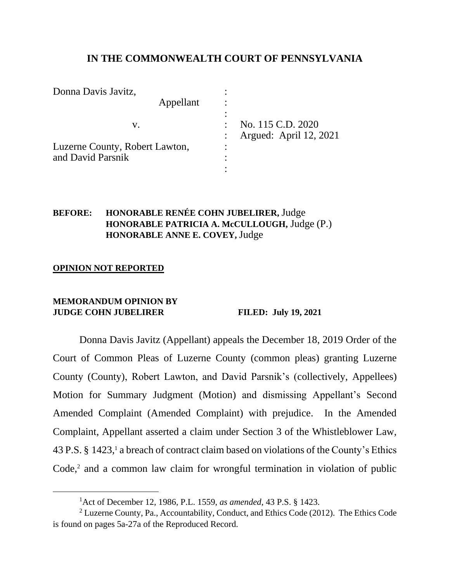# **IN THE COMMONWEALTH COURT OF PENNSYLVANIA**

| Donna Davis Javitz,                                       |                                             |
|-----------------------------------------------------------|---------------------------------------------|
| Appellant                                                 |                                             |
| V.<br>Luzerne County, Robert Lawton,<br>and David Parsnik | No. 115 C.D. 2020<br>Argued: April 12, 2021 |

# **BEFORE: HONORABLE RENÉE COHN JUBELIRER,** Judge **HONORABLE PATRICIA A. McCULLOUGH,** Judge (P.) **HONORABLE ANNE E. COVEY,** Judge

### **OPINION NOT REPORTED**

#### **MEMORANDUM OPINION BY JUDGE COHN JUBELIRER FILED: July 19, 2021**

Donna Davis Javitz (Appellant) appeals the December 18, 2019 Order of the Court of Common Pleas of Luzerne County (common pleas) granting Luzerne County (County), Robert Lawton, and David Parsnik's (collectively, Appellees) Motion for Summary Judgment (Motion) and dismissing Appellant's Second Amended Complaint (Amended Complaint) with prejudice. In the Amended Complaint, Appellant asserted a claim under Section 3 of the Whistleblower Law, 43 P.S. § 1423, <sup>1</sup> a breach of contract claim based on violations of the County's Ethics  $Code<sub>1</sub><sup>2</sup>$  and a common law claim for wrongful termination in violation of public

<sup>1</sup>Act of December 12, 1986, P.L. 1559, *as amended*, 43 P.S. § 1423.

<sup>&</sup>lt;sup>2</sup> Luzerne County, Pa., Accountability, Conduct, and Ethics Code (2012). The Ethics Code is found on pages 5a-27a of the Reproduced Record.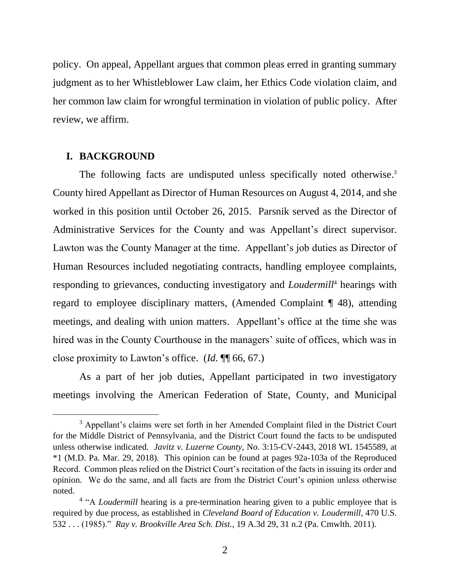policy. On appeal, Appellant argues that common pleas erred in granting summary judgment as to her Whistleblower Law claim, her Ethics Code violation claim, and her common law claim for wrongful termination in violation of public policy. After review, we affirm.

## **I. BACKGROUND**

The following facts are undisputed unless specifically noted otherwise.<sup>3</sup> County hired Appellant as Director of Human Resources on August 4, 2014, and she worked in this position until October 26, 2015. Parsnik served as the Director of Administrative Services for the County and was Appellant's direct supervisor. Lawton was the County Manager at the time. Appellant's job duties as Director of Human Resources included negotiating contracts, handling employee complaints, responding to grievances, conducting investigatory and *Loudermill*<sup>4</sup> hearings with regard to employee disciplinary matters, (Amended Complaint ¶ 48), attending meetings, and dealing with union matters. Appellant's office at the time she was hired was in the County Courthouse in the managers' suite of offices, which was in close proximity to Lawton's office. (*Id.* ¶¶ 66, 67.)

As a part of her job duties, Appellant participated in two investigatory meetings involving the American Federation of State, County, and Municipal

<sup>&</sup>lt;sup>3</sup> Appellant's claims were set forth in her Amended Complaint filed in the District Court for the Middle District of Pennsylvania, and the District Court found the facts to be undisputed unless otherwise indicated. *Javitz v. Luzerne County*, No. 3:15-CV-2443, 2018 WL 1545589, at \*1 (M.D. Pa. Mar. 29, 2018). This opinion can be found at pages 92a-103a of the Reproduced Record. Common pleas relied on the District Court's recitation of the facts in issuing its order and opinion. We do the same, and all facts are from the District Court's opinion unless otherwise noted.

<sup>&</sup>lt;sup>4</sup> "A *Loudermill* hearing is a pre-termination hearing given to a public employee that is required by due process, as established in *Cleveland Board of Education v. Loudermill*, 470 U.S. 532 . . . (1985)." *Ray v. Brookville Area Sch. Dist.*, 19 A.3d 29, 31 n.2 (Pa. Cmwlth. 2011).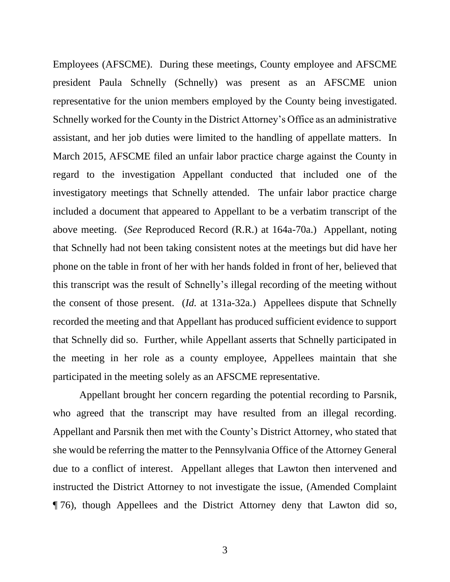Employees (AFSCME). During these meetings, County employee and AFSCME president Paula Schnelly (Schnelly) was present as an AFSCME union representative for the union members employed by the County being investigated. Schnelly worked for the County in the District Attorney's Office as an administrative assistant, and her job duties were limited to the handling of appellate matters. In March 2015, AFSCME filed an unfair labor practice charge against the County in regard to the investigation Appellant conducted that included one of the investigatory meetings that Schnelly attended. The unfair labor practice charge included a document that appeared to Appellant to be a verbatim transcript of the above meeting. (*See* Reproduced Record (R.R.) at 164a-70a.) Appellant, noting that Schnelly had not been taking consistent notes at the meetings but did have her phone on the table in front of her with her hands folded in front of her, believed that this transcript was the result of Schnelly's illegal recording of the meeting without the consent of those present. (*Id.* at 131a-32a.) Appellees dispute that Schnelly recorded the meeting and that Appellant has produced sufficient evidence to support that Schnelly did so. Further, while Appellant asserts that Schnelly participated in the meeting in her role as a county employee, Appellees maintain that she participated in the meeting solely as an AFSCME representative.

Appellant brought her concern regarding the potential recording to Parsnik, who agreed that the transcript may have resulted from an illegal recording. Appellant and Parsnik then met with the County's District Attorney, who stated that she would be referring the matter to the Pennsylvania Office of the Attorney General due to a conflict of interest. Appellant alleges that Lawton then intervened and instructed the District Attorney to not investigate the issue, (Amended Complaint ¶ 76), though Appellees and the District Attorney deny that Lawton did so,

3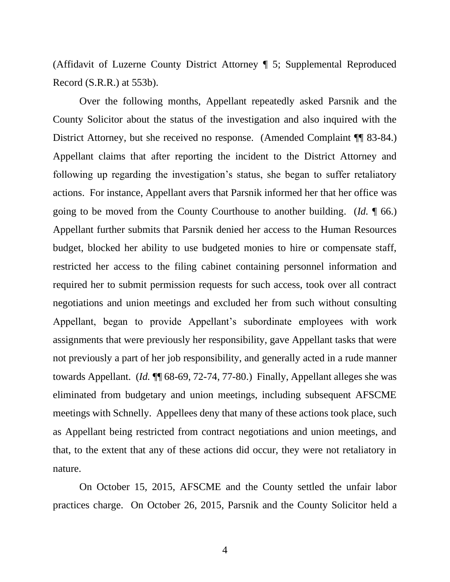(Affidavit of Luzerne County District Attorney ¶ 5; Supplemental Reproduced Record (S.R.R.) at 553b).

Over the following months, Appellant repeatedly asked Parsnik and the County Solicitor about the status of the investigation and also inquired with the District Attorney, but she received no response. (Amended Complaint ¶¶ 83-84.) Appellant claims that after reporting the incident to the District Attorney and following up regarding the investigation's status, she began to suffer retaliatory actions. For instance, Appellant avers that Parsnik informed her that her office was going to be moved from the County Courthouse to another building. (*Id.* ¶ 66.) Appellant further submits that Parsnik denied her access to the Human Resources budget, blocked her ability to use budgeted monies to hire or compensate staff, restricted her access to the filing cabinet containing personnel information and required her to submit permission requests for such access, took over all contract negotiations and union meetings and excluded her from such without consulting Appellant, began to provide Appellant's subordinate employees with work assignments that were previously her responsibility, gave Appellant tasks that were not previously a part of her job responsibility, and generally acted in a rude manner towards Appellant. (*Id.* ¶¶ 68-69, 72-74, 77-80.) Finally, Appellant alleges she was eliminated from budgetary and union meetings, including subsequent AFSCME meetings with Schnelly. Appellees deny that many of these actions took place, such as Appellant being restricted from contract negotiations and union meetings, and that, to the extent that any of these actions did occur, they were not retaliatory in nature.

On October 15, 2015, AFSCME and the County settled the unfair labor practices charge. On October 26, 2015, Parsnik and the County Solicitor held a

4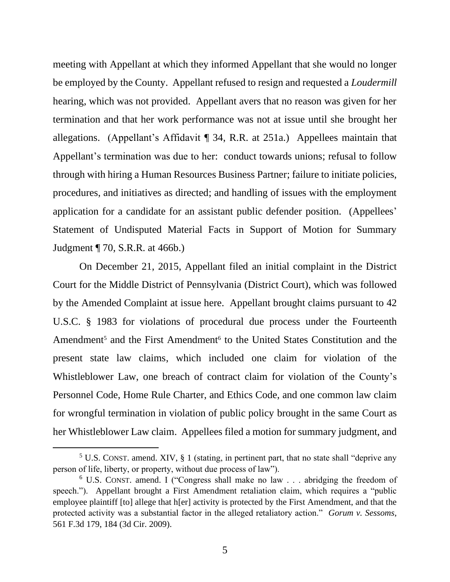meeting with Appellant at which they informed Appellant that she would no longer be employed by the County. Appellant refused to resign and requested a *Loudermill* hearing, which was not provided. Appellant avers that no reason was given for her termination and that her work performance was not at issue until she brought her allegations. (Appellant's Affidavit ¶ 34, R.R. at 251a.) Appellees maintain that Appellant's termination was due to her: conduct towards unions; refusal to follow through with hiring a Human Resources Business Partner; failure to initiate policies, procedures, and initiatives as directed; and handling of issues with the employment application for a candidate for an assistant public defender position. (Appellees' Statement of Undisputed Material Facts in Support of Motion for Summary Judgment ¶ 70, S.R.R. at 466b.)

On December 21, 2015, Appellant filed an initial complaint in the District Court for the Middle District of Pennsylvania (District Court), which was followed by the Amended Complaint at issue here. Appellant brought claims pursuant to 42 U.S.C. § 1983 for violations of procedural due process under the Fourteenth Amendment<sup>5</sup> and the First Amendment<sup>6</sup> to the United States Constitution and the present state law claims, which included one claim for violation of the Whistleblower Law, one breach of contract claim for violation of the County's Personnel Code, Home Rule Charter, and Ethics Code, and one common law claim for wrongful termination in violation of public policy brought in the same Court as her Whistleblower Law claim. Appellees filed a motion for summary judgment, and

 $5$  U.S. CONST. amend. XIV,  $\S$  1 (stating, in pertinent part, that no state shall "deprive any person of life, liberty, or property, without due process of law").

<sup>6</sup> U.S. CONST. amend. I ("Congress shall make no law . . . abridging the freedom of speech."). Appellant brought a First Amendment retaliation claim, which requires a "public employee plaintiff [to] allege that h[er] activity is protected by the First Amendment, and that the protected activity was a substantial factor in the alleged retaliatory action." *Gorum v. Sessoms*, 561 F.3d 179, 184 (3d Cir. 2009).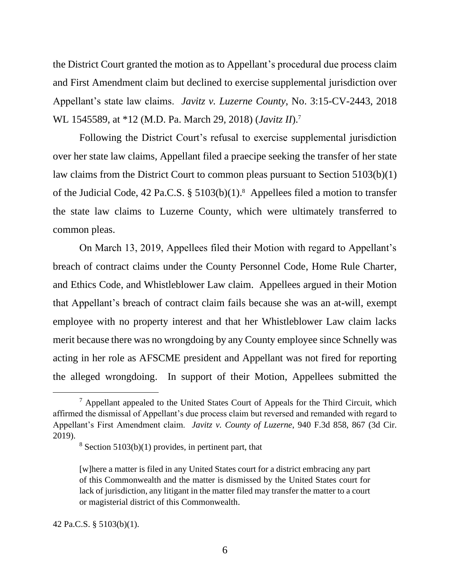the District Court granted the motion as to Appellant's procedural due process claim and First Amendment claim but declined to exercise supplemental jurisdiction over Appellant's state law claims. *Javitz v. Luzerne County*, No. 3:15-CV-2443, 2018 WL 1545589, at \*12 (M.D. Pa. March 29, 2018) (*Javitz II*). 7

Following the District Court's refusal to exercise supplemental jurisdiction over her state law claims, Appellant filed a praecipe seeking the transfer of her state law claims from the District Court to common pleas pursuant to Section 5103(b)(1) of the Judicial Code, 42 Pa.C.S. § 5103(b)(1). 8 Appellees filed a motion to transfer the state law claims to Luzerne County, which were ultimately transferred to common pleas.

On March 13, 2019, Appellees filed their Motion with regard to Appellant's breach of contract claims under the County Personnel Code, Home Rule Charter, and Ethics Code, and Whistleblower Law claim. Appellees argued in their Motion that Appellant's breach of contract claim fails because she was an at-will, exempt employee with no property interest and that her Whistleblower Law claim lacks merit because there was no wrongdoing by any County employee since Schnelly was acting in her role as AFSCME president and Appellant was not fired for reporting the alleged wrongdoing. In support of their Motion, Appellees submitted the

 $<sup>7</sup>$  Appellant appealed to the United States Court of Appeals for the Third Circuit, which</sup> affirmed the dismissal of Appellant's due process claim but reversed and remanded with regard to Appellant's First Amendment claim. *Javitz v. County of Luzerne*, 940 F.3d 858, 867 (3d Cir. 2019).

 $8$  Section 5103(b)(1) provides, in pertinent part, that

<sup>[</sup>w]here a matter is filed in any United States court for a district embracing any part of this Commonwealth and the matter is dismissed by the United States court for lack of jurisdiction, any litigant in the matter filed may transfer the matter to a court or magisterial district of this Commonwealth.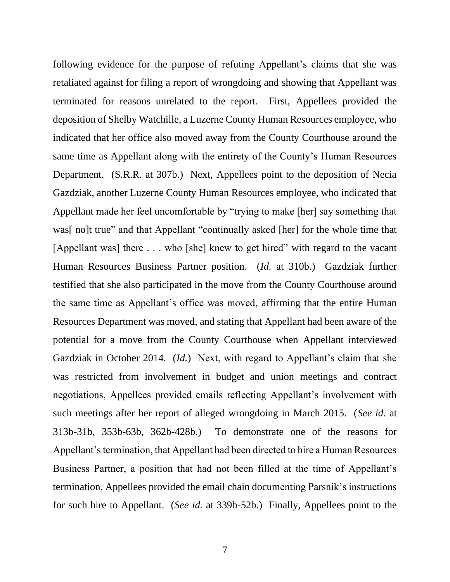following evidence for the purpose of refuting Appellant's claims that she was retaliated against for filing a report of wrongdoing and showing that Appellant was terminated for reasons unrelated to the report. First, Appellees provided the deposition of Shelby Watchille, a Luzerne County Human Resources employee, who indicated that her office also moved away from the County Courthouse around the same time as Appellant along with the entirety of the County's Human Resources Department. (S.R.R. at 307b.) Next, Appellees point to the deposition of Necia Gazdziak, another Luzerne County Human Resources employee, who indicated that Appellant made her feel uncomfortable by "trying to make [her] say something that was[no]t true" and that Appellant "continually asked [her] for the whole time that [Appellant was] there . . . who [she] knew to get hired" with regard to the vacant Human Resources Business Partner position. (*Id.* at 310b.) Gazdziak further testified that she also participated in the move from the County Courthouse around the same time as Appellant's office was moved, affirming that the entire Human Resources Department was moved, and stating that Appellant had been aware of the potential for a move from the County Courthouse when Appellant interviewed Gazdziak in October 2014. (*Id.*) Next, with regard to Appellant's claim that she was restricted from involvement in budget and union meetings and contract negotiations, Appellees provided emails reflecting Appellant's involvement with such meetings after her report of alleged wrongdoing in March 2015. (*See id.* at 313b-31b, 353b-63b, 362b-428b.) To demonstrate one of the reasons for Appellant's termination, that Appellant had been directed to hire a Human Resources Business Partner, a position that had not been filled at the time of Appellant's termination, Appellees provided the email chain documenting Parsnik's instructions for such hire to Appellant. (*See id.* at 339b-52b.) Finally, Appellees point to the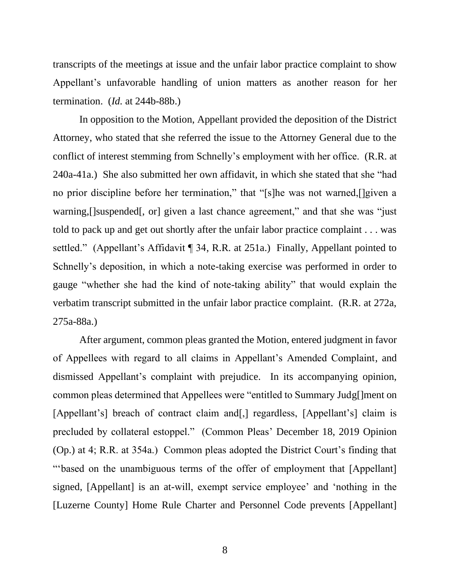transcripts of the meetings at issue and the unfair labor practice complaint to show Appellant's unfavorable handling of union matters as another reason for her termination. (*Id.* at 244b-88b.)

In opposition to the Motion, Appellant provided the deposition of the District Attorney, who stated that she referred the issue to the Attorney General due to the conflict of interest stemming from Schnelly's employment with her office. (R.R. at 240a-41a.) She also submitted her own affidavit, in which she stated that she "had no prior discipline before her termination," that "[s]he was not warned,[]given a warning, []suspended[, or] given a last chance agreement," and that she was "just told to pack up and get out shortly after the unfair labor practice complaint . . . was settled." (Appellant's Affidavit ¶ 34, R.R. at 251a.) Finally, Appellant pointed to Schnelly's deposition, in which a note-taking exercise was performed in order to gauge "whether she had the kind of note-taking ability" that would explain the verbatim transcript submitted in the unfair labor practice complaint. (R.R. at 272a, 275a-88a.)

After argument, common pleas granted the Motion, entered judgment in favor of Appellees with regard to all claims in Appellant's Amended Complaint, and dismissed Appellant's complaint with prejudice. In its accompanying opinion, common pleas determined that Appellees were "entitled to Summary Judg[]ment on [Appellant's] breach of contract claim and [,] regardless, [Appellant's] claim is precluded by collateral estoppel." (Common Pleas' December 18, 2019 Opinion (Op.) at 4; R.R. at 354a.) Common pleas adopted the District Court's finding that "'based on the unambiguous terms of the offer of employment that [Appellant] signed, [Appellant] is an at-will, exempt service employee' and 'nothing in the [Luzerne County] Home Rule Charter and Personnel Code prevents [Appellant]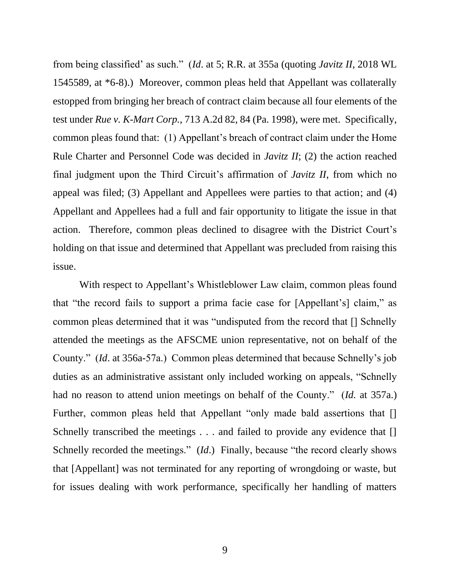from being classified' as such." (*Id*. at 5; R.R. at 355a (quoting *Javitz II*, 2018 WL 1545589, at \*6-8).) Moreover, common pleas held that Appellant was collaterally estopped from bringing her breach of contract claim because all four elements of the test under *Rue v. K-Mart Corp.*, 713 A.2d 82, 84 (Pa. 1998), were met. Specifically, common pleas found that: (1) Appellant's breach of contract claim under the Home Rule Charter and Personnel Code was decided in *Javitz II*; (2) the action reached final judgment upon the Third Circuit's affirmation of *Javitz II*, from which no appeal was filed; (3) Appellant and Appellees were parties to that action; and (4) Appellant and Appellees had a full and fair opportunity to litigate the issue in that action. Therefore, common pleas declined to disagree with the District Court's holding on that issue and determined that Appellant was precluded from raising this issue.

With respect to Appellant's Whistleblower Law claim, common pleas found that "the record fails to support a prima facie case for [Appellant's] claim," as common pleas determined that it was "undisputed from the record that [] Schnelly attended the meetings as the AFSCME union representative, not on behalf of the County." (*Id*. at 356a-57a.) Common pleas determined that because Schnelly's job duties as an administrative assistant only included working on appeals, "Schnelly had no reason to attend union meetings on behalf of the County." (*Id.* at 357a.) Further, common pleas held that Appellant "only made bald assertions that [] Schnelly transcribed the meetings . . . and failed to provide any evidence that [] Schnelly recorded the meetings." (*Id*.) Finally, because "the record clearly shows that [Appellant] was not terminated for any reporting of wrongdoing or waste, but for issues dealing with work performance, specifically her handling of matters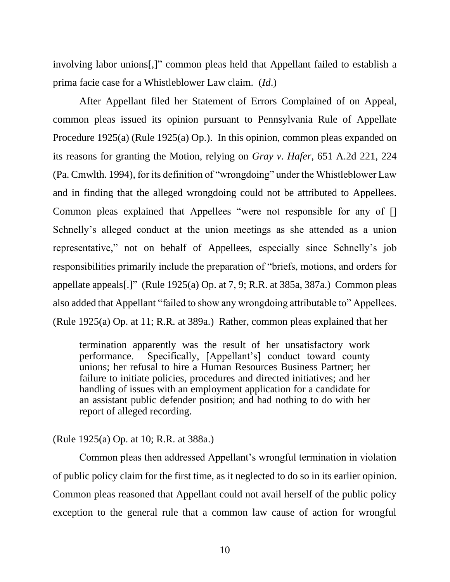involving labor unions[,]" common pleas held that Appellant failed to establish a prima facie case for a Whistleblower Law claim. (*Id*.)

After Appellant filed her Statement of Errors Complained of on Appeal, common pleas issued its opinion pursuant to Pennsylvania Rule of Appellate Procedure 1925(a) (Rule 1925(a) Op.). In this opinion, common pleas expanded on its reasons for granting the Motion, relying on *Gray v. Hafer*, 651 A.2d 221, 224 (Pa. Cmwlth. 1994), for its definition of "wrongdoing" under the Whistleblower Law and in finding that the alleged wrongdoing could not be attributed to Appellees. Common pleas explained that Appellees "were not responsible for any of [] Schnelly's alleged conduct at the union meetings as she attended as a union representative," not on behalf of Appellees, especially since Schnelly's job responsibilities primarily include the preparation of "briefs, motions, and orders for appellate appeals[.]" (Rule 1925(a) Op. at 7, 9; R.R. at 385a, 387a.) Common pleas also added that Appellant "failed to show any wrongdoing attributable to" Appellees. (Rule 1925(a) Op. at 11; R.R. at 389a.) Rather, common pleas explained that her

termination apparently was the result of her unsatisfactory work performance. Specifically, [Appellant's] conduct toward county unions; her refusal to hire a Human Resources Business Partner; her failure to initiate policies, procedures and directed initiatives; and her handling of issues with an employment application for a candidate for an assistant public defender position; and had nothing to do with her report of alleged recording.

# (Rule 1925(a) Op. at 10; R.R. at 388a.)

Common pleas then addressed Appellant's wrongful termination in violation of public policy claim for the first time, as it neglected to do so in its earlier opinion. Common pleas reasoned that Appellant could not avail herself of the public policy exception to the general rule that a common law cause of action for wrongful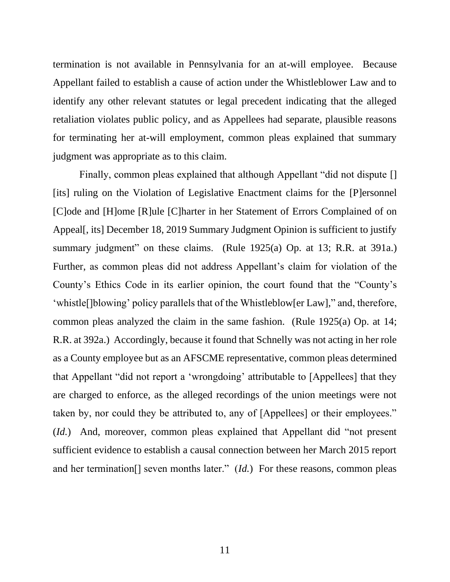termination is not available in Pennsylvania for an at-will employee. Because Appellant failed to establish a cause of action under the Whistleblower Law and to identify any other relevant statutes or legal precedent indicating that the alleged retaliation violates public policy, and as Appellees had separate, plausible reasons for terminating her at-will employment, common pleas explained that summary judgment was appropriate as to this claim.

Finally, common pleas explained that although Appellant "did not dispute [] [its] ruling on the Violation of Legislative Enactment claims for the [P]ersonnel [C]ode and [H]ome [R]ule [C]harter in her Statement of Errors Complained of on Appeal[, its] December 18, 2019 Summary Judgment Opinion is sufficient to justify summary judgment" on these claims. (Rule 1925(a) Op. at 13; R.R. at 391a.) Further, as common pleas did not address Appellant's claim for violation of the County's Ethics Code in its earlier opinion, the court found that the "County's 'whistle[]blowing' policy parallels that of the Whistleblow[er Law]," and, therefore, common pleas analyzed the claim in the same fashion. (Rule 1925(a) Op. at 14; R.R. at 392a.) Accordingly, because it found that Schnelly was not acting in her role as a County employee but as an AFSCME representative, common pleas determined that Appellant "did not report a 'wrongdoing' attributable to [Appellees] that they are charged to enforce, as the alleged recordings of the union meetings were not taken by, nor could they be attributed to, any of [Appellees] or their employees." (*Id.*) And, moreover, common pleas explained that Appellant did "not present sufficient evidence to establish a causal connection between her March 2015 report and her termination[] seven months later." (*Id.*) For these reasons, common pleas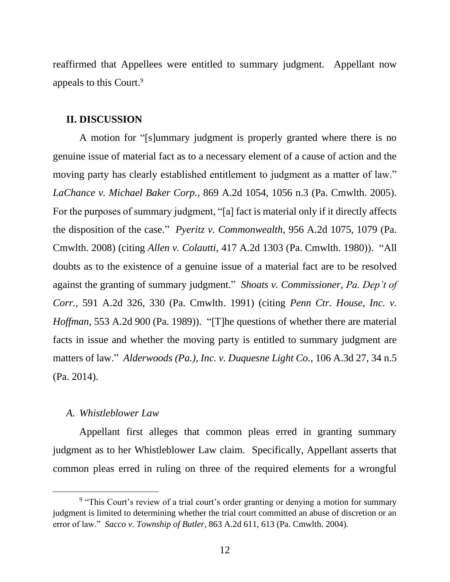reaffirmed that Appellees were entitled to summary judgment. Appellant now appeals to this Court.<sup>9</sup>

### **II. DISCUSSION**

A motion for "[s]ummary judgment is properly granted where there is no genuine issue of material fact as to a necessary element of a cause of action and the moving party has clearly established entitlement to judgment as a matter of law." *LaChance v. Michael Baker Corp.*, 869 A.2d 1054, 1056 n.3 (Pa. Cmwlth. 2005). For the purposes of summary judgment, "[a] fact is material only if it directly affects the disposition of the case." *Pyeritz v. Commonwealth*, 956 A.2d 1075, 1079 (Pa. Cmwlth. 2008) (citing *Allen v. Colautti*, 417 A.2d 1303 (Pa. Cmwlth. 1980)). "All doubts as to the existence of a genuine issue of a material fact are to be resolved against the granting of summary judgment." *Shoats v. Commissioner, Pa. Dep't of Corr.*, 591 A.2d 326, 330 (Pa. Cmwlth. 1991) (citing *Penn Ctr. House, Inc. v. Hoffman*, 553 A.2d 900 (Pa. 1989)). "[T]he questions of whether there are material facts in issue and whether the moving party is entitled to summary judgment are matters of law." *Alderwoods (Pa.), Inc. v. Duquesne Light Co.*, 106 A.3d 27, 34 n.5 (Pa. 2014).

### *A. Whistleblower Law*

Appellant first alleges that common pleas erred in granting summary judgment as to her Whistleblower Law claim. Specifically, Appellant asserts that common pleas erred in ruling on three of the required elements for a wrongful

<sup>&</sup>lt;sup>9</sup> "This Court's review of a trial court's order granting or denying a motion for summary judgment is limited to determining whether the trial court committed an abuse of discretion or an error of law." *Sacco v. Township of Butler*, 863 A.2d 611, 613 (Pa. Cmwlth. 2004).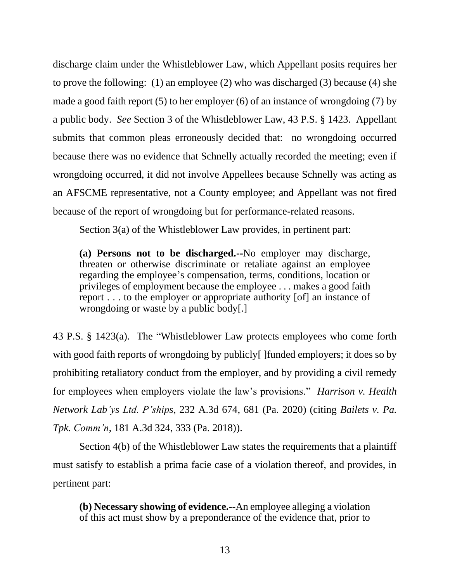discharge claim under the Whistleblower Law, which Appellant posits requires her to prove the following: (1) an employee (2) who was discharged (3) because (4) she made a good faith report (5) to her employer (6) of an instance of wrongdoing (7) by a public body. *See* Section 3 of the Whistleblower Law, 43 P.S. § 1423. Appellant submits that common pleas erroneously decided that: no wrongdoing occurred because there was no evidence that Schnelly actually recorded the meeting; even if wrongdoing occurred, it did not involve Appellees because Schnelly was acting as an AFSCME representative, not a County employee; and Appellant was not fired because of the report of wrongdoing but for performance-related reasons.

Section 3(a) of the Whistleblower Law provides, in pertinent part:

**(a) Persons not to be discharged.--**No employer may discharge, threaten or otherwise discriminate or retaliate against an employee regarding the employee's compensation, terms, conditions, location or privileges of employment because the employee . . . makes a good faith report . . . to the employer or appropriate authority [of] an instance of wrongdoing or waste by a public body[.]

43 P.S. § 1423(a). The "Whistleblower Law protects employees who come forth with good faith reports of wrongdoing by publicly [ ] funded employers; it does so by prohibiting retaliatory conduct from the employer, and by providing a civil remedy for employees when employers violate the law's provisions." *Harrison v. Health Network Lab'ys Ltd. P'ships*, 232 A.3d 674, 681 (Pa. 2020) (citing *Bailets v. Pa. Tpk. Comm'n*, 181 A.3d 324, 333 (Pa. 2018)).

Section 4(b) of the Whistleblower Law states the requirements that a plaintiff must satisfy to establish a prima facie case of a violation thereof, and provides, in pertinent part:

**(b) Necessary showing of evidence.--**An employee alleging a violation of this act must show by a preponderance of the evidence that, prior to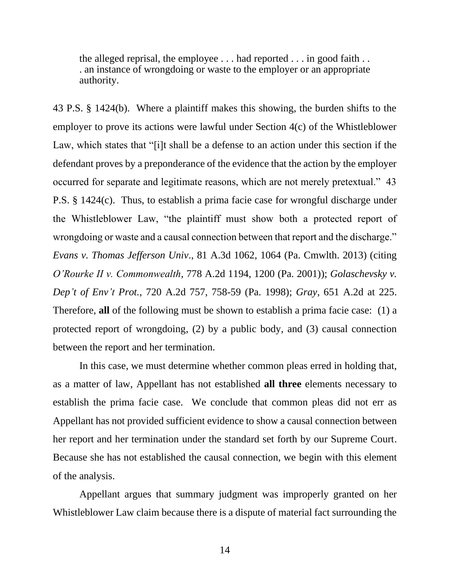the alleged reprisal, the employee . . . had reported . . . in good faith . . . an instance of wrongdoing or waste to the employer or an appropriate authority.

43 P.S. § 1424(b). Where a plaintiff makes this showing, the burden shifts to the employer to prove its actions were lawful under Section 4(c) of the Whistleblower Law, which states that "[i]t shall be a defense to an action under this section if the defendant proves by a preponderance of the evidence that the action by the employer occurred for separate and legitimate reasons, which are not merely pretextual." 43 P.S. § 1424(c). Thus, to establish a prima facie case for wrongful discharge under the Whistleblower Law, "the plaintiff must show both a protected report of wrongdoing or waste and a causal connection between that report and the discharge." *Evans v. Thomas Jefferson Univ*., 81 A.3d 1062, 1064 (Pa. Cmwlth. 2013) (citing *O'Rourke II v. Commonwealth*, 778 A.2d 1194, 1200 (Pa. 2001)); *Golaschevsky v. Dep't of Env't Prot.*, 720 A.2d 757, 758-59 (Pa. 1998); *Gray*, 651 A.2d at 225. Therefore, **all** of the following must be shown to establish a prima facie case: (1) a protected report of wrongdoing, (2) by a public body, and (3) causal connection between the report and her termination.

In this case, we must determine whether common pleas erred in holding that, as a matter of law, Appellant has not established **all three** elements necessary to establish the prima facie case. We conclude that common pleas did not err as Appellant has not provided sufficient evidence to show a causal connection between her report and her termination under the standard set forth by our Supreme Court. Because she has not established the causal connection, we begin with this element of the analysis.

Appellant argues that summary judgment was improperly granted on her Whistleblower Law claim because there is a dispute of material fact surrounding the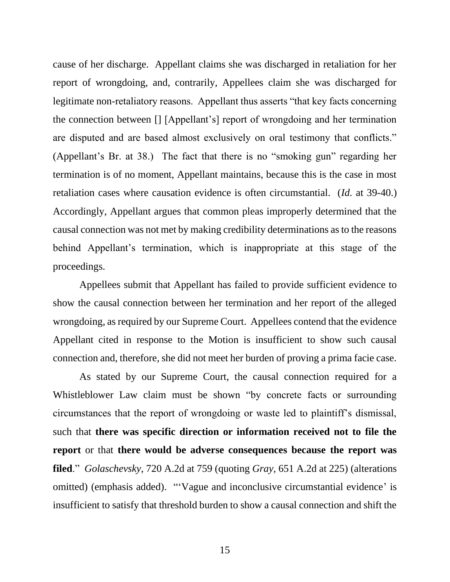cause of her discharge. Appellant claims she was discharged in retaliation for her report of wrongdoing, and, contrarily, Appellees claim she was discharged for legitimate non-retaliatory reasons. Appellant thus asserts "that key facts concerning the connection between [] [Appellant's] report of wrongdoing and her termination are disputed and are based almost exclusively on oral testimony that conflicts." (Appellant's Br. at 38.) The fact that there is no "smoking gun" regarding her termination is of no moment, Appellant maintains, because this is the case in most retaliation cases where causation evidence is often circumstantial. (*Id.* at 39-40.) Accordingly, Appellant argues that common pleas improperly determined that the causal connection was not met by making credibility determinations as to the reasons behind Appellant's termination, which is inappropriate at this stage of the proceedings.

Appellees submit that Appellant has failed to provide sufficient evidence to show the causal connection between her termination and her report of the alleged wrongdoing, as required by our Supreme Court. Appellees contend that the evidence Appellant cited in response to the Motion is insufficient to show such causal connection and, therefore, she did not meet her burden of proving a prima facie case.

As stated by our Supreme Court, the causal connection required for a Whistleblower Law claim must be shown "by concrete facts or surrounding circumstances that the report of wrongdoing or waste led to plaintiff's dismissal, such that **there was specific direction or information received not to file the report** or that **there would be adverse consequences because the report was filed**." *Golaschevsky*, 720 A.2d at 759 (quoting *Gray*, 651 A.2d at 225) (alterations omitted) (emphasis added). "'Vague and inconclusive circumstantial evidence' is insufficient to satisfy that threshold burden to show a causal connection and shift the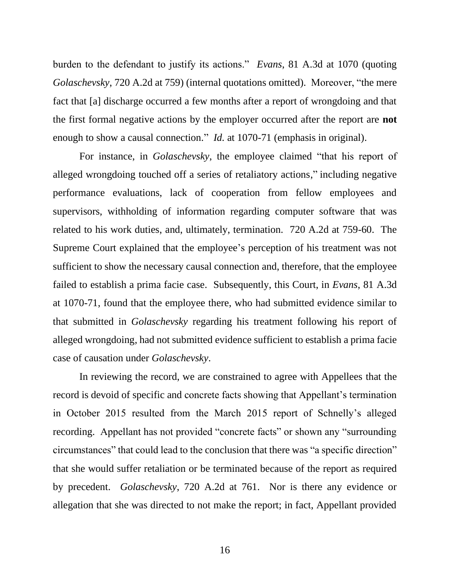burden to the defendant to justify its actions." *Evans*, 81 A.3d at 1070 (quoting *Golaschevsky*, 720 A.2d at 759) (internal quotations omitted). Moreover, "the mere fact that [a] discharge occurred a few months after a report of wrongdoing and that the first formal negative actions by the employer occurred after the report are **not** enough to show a causal connection." *Id.* at 1070-71 (emphasis in original).

For instance, in *Golaschevsky*, the employee claimed "that his report of alleged wrongdoing touched off a series of retaliatory actions," including negative performance evaluations, lack of cooperation from fellow employees and supervisors, withholding of information regarding computer software that was related to his work duties, and, ultimately, termination. 720 A.2d at 759-60. The Supreme Court explained that the employee's perception of his treatment was not sufficient to show the necessary causal connection and, therefore, that the employee failed to establish a prima facie case. Subsequently, this Court, in *Evans*, 81 A.3d at 1070-71, found that the employee there, who had submitted evidence similar to that submitted in *Golaschevsky* regarding his treatment following his report of alleged wrongdoing, had not submitted evidence sufficient to establish a prima facie case of causation under *Golaschevsky*.

In reviewing the record, we are constrained to agree with Appellees that the record is devoid of specific and concrete facts showing that Appellant's termination in October 2015 resulted from the March 2015 report of Schnelly's alleged recording. Appellant has not provided "concrete facts" or shown any "surrounding circumstances" that could lead to the conclusion that there was "a specific direction" that she would suffer retaliation or be terminated because of the report as required by precedent. *Golaschevsky*, 720 A.2d at 761. Nor is there any evidence or allegation that she was directed to not make the report; in fact, Appellant provided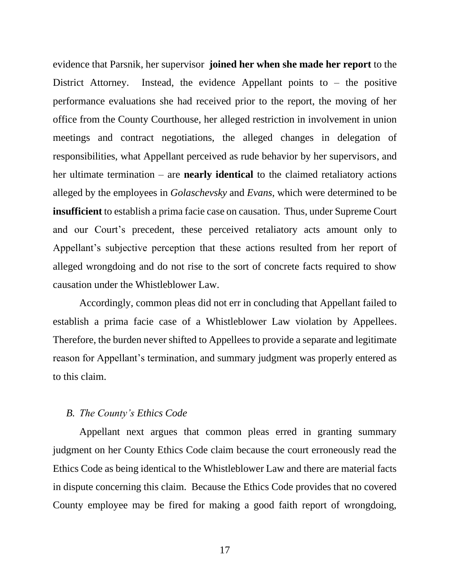evidence that Parsnik, her supervisor **joined her when she made her report** to the District Attorney. Instead, the evidence Appellant points to  $-$  the positive performance evaluations she had received prior to the report, the moving of her office from the County Courthouse, her alleged restriction in involvement in union meetings and contract negotiations, the alleged changes in delegation of responsibilities, what Appellant perceived as rude behavior by her supervisors, and her ultimate termination – are **nearly identical** to the claimed retaliatory actions alleged by the employees in *Golaschevsky* and *Evans*, which were determined to be **insufficient** to establish a prima facie case on causation. Thus, under Supreme Court and our Court's precedent, these perceived retaliatory acts amount only to Appellant's subjective perception that these actions resulted from her report of alleged wrongdoing and do not rise to the sort of concrete facts required to show causation under the Whistleblower Law.

Accordingly, common pleas did not err in concluding that Appellant failed to establish a prima facie case of a Whistleblower Law violation by Appellees. Therefore, the burden never shifted to Appellees to provide a separate and legitimate reason for Appellant's termination, and summary judgment was properly entered as to this claim.

#### *B. The County's Ethics Code*

Appellant next argues that common pleas erred in granting summary judgment on her County Ethics Code claim because the court erroneously read the Ethics Code as being identical to the Whistleblower Law and there are material facts in dispute concerning this claim. Because the Ethics Code provides that no covered County employee may be fired for making a good faith report of wrongdoing,

17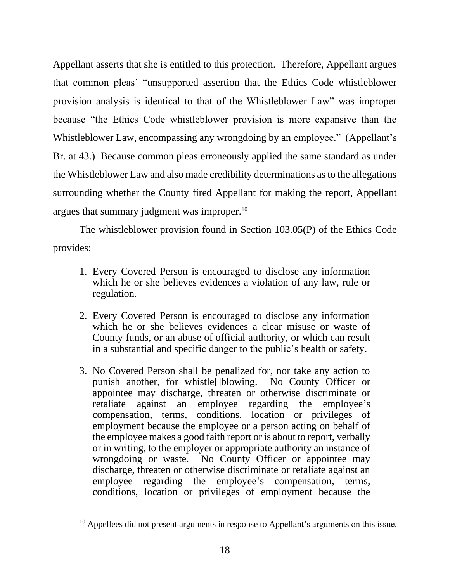Appellant asserts that she is entitled to this protection. Therefore, Appellant argues that common pleas' "unsupported assertion that the Ethics Code whistleblower provision analysis is identical to that of the Whistleblower Law" was improper because "the Ethics Code whistleblower provision is more expansive than the Whistleblower Law, encompassing any wrongdoing by an employee." (Appellant's Br. at 43.) Because common pleas erroneously applied the same standard as under the Whistleblower Law and also made credibility determinations as to the allegations surrounding whether the County fired Appellant for making the report, Appellant argues that summary judgment was improper.<sup>10</sup>

The whistleblower provision found in Section 103.05(P) of the Ethics Code provides:

- 1. Every Covered Person is encouraged to disclose any information which he or she believes evidences a violation of any law, rule or regulation.
- 2. Every Covered Person is encouraged to disclose any information which he or she believes evidences a clear misuse or waste of County funds, or an abuse of official authority, or which can result in a substantial and specific danger to the public's health or safety.
- 3. No Covered Person shall be penalized for, nor take any action to punish another, for whistle[]blowing. No County Officer or appointee may discharge, threaten or otherwise discriminate or retaliate against an employee regarding the employee's compensation, terms, conditions, location or privileges of employment because the employee or a person acting on behalf of the employee makes a good faith report or is about to report, verbally or in writing, to the employer or appropriate authority an instance of wrongdoing or waste. No County Officer or appointee may discharge, threaten or otherwise discriminate or retaliate against an employee regarding the employee's compensation, terms, conditions, location or privileges of employment because the

 $10$  Appellees did not present arguments in response to Appellant's arguments on this issue.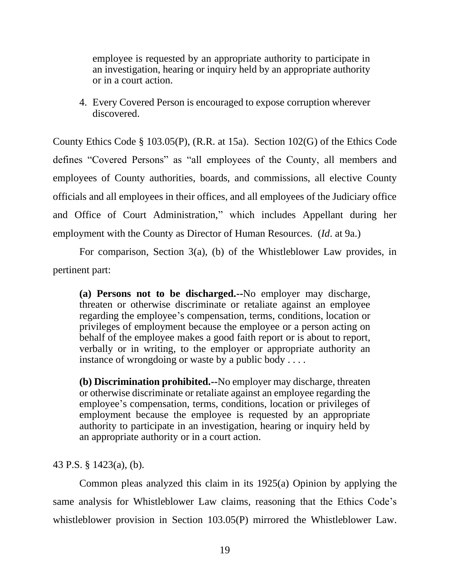employee is requested by an appropriate authority to participate in an investigation, hearing or inquiry held by an appropriate authority or in a court action.

4. Every Covered Person is encouraged to expose corruption wherever discovered.

County Ethics Code § 103.05(P), (R.R. at 15a). Section 102(G) of the Ethics Code defines "Covered Persons" as "all employees of the County, all members and employees of County authorities, boards, and commissions, all elective County officials and all employees in their offices, and all employees of the Judiciary office and Office of Court Administration," which includes Appellant during her employment with the County as Director of Human Resources. (*Id*. at 9a.)

For comparison, Section 3(a), (b) of the Whistleblower Law provides, in pertinent part:

**(a) Persons not to be discharged.--**No employer may discharge, threaten or otherwise discriminate or retaliate against an employee regarding the employee's compensation, terms, conditions, location or privileges of employment because the employee or a person acting on behalf of the employee makes a good faith report or is about to report, verbally or in writing, to the employer or appropriate authority an instance of wrongdoing or waste by a public body . . . .

**(b) Discrimination prohibited.--**No employer may discharge, threaten or otherwise discriminate or retaliate against an employee regarding the employee's compensation, terms, conditions, location or privileges of employment because the employee is requested by an appropriate authority to participate in an investigation, hearing or inquiry held by an appropriate authority or in a court action.

43 P.S. § 1423(a), (b).

Common pleas analyzed this claim in its 1925(a) Opinion by applying the same analysis for Whistleblower Law claims, reasoning that the Ethics Code's whistleblower provision in Section 103.05(P) mirrored the Whistleblower Law.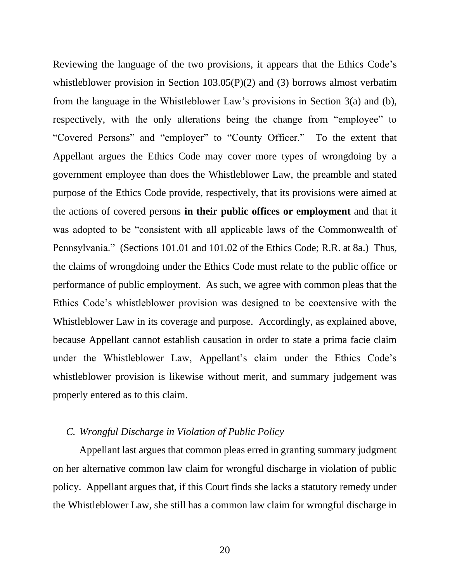Reviewing the language of the two provisions, it appears that the Ethics Code's whistleblower provision in Section 103.05(P)(2) and (3) borrows almost verbatim from the language in the Whistleblower Law's provisions in Section 3(a) and (b), respectively, with the only alterations being the change from "employee" to "Covered Persons" and "employer" to "County Officer." To the extent that Appellant argues the Ethics Code may cover more types of wrongdoing by a government employee than does the Whistleblower Law, the preamble and stated purpose of the Ethics Code provide, respectively, that its provisions were aimed at the actions of covered persons **in their public offices or employment** and that it was adopted to be "consistent with all applicable laws of the Commonwealth of Pennsylvania." (Sections 101.01 and 101.02 of the Ethics Code; R.R. at 8a.) Thus, the claims of wrongdoing under the Ethics Code must relate to the public office or performance of public employment. As such, we agree with common pleas that the Ethics Code's whistleblower provision was designed to be coextensive with the Whistleblower Law in its coverage and purpose. Accordingly, as explained above, because Appellant cannot establish causation in order to state a prima facie claim under the Whistleblower Law, Appellant's claim under the Ethics Code's whistleblower provision is likewise without merit, and summary judgement was properly entered as to this claim.

#### *C. Wrongful Discharge in Violation of Public Policy*

Appellant last argues that common pleas erred in granting summary judgment on her alternative common law claim for wrongful discharge in violation of public policy. Appellant argues that, if this Court finds she lacks a statutory remedy under the Whistleblower Law, she still has a common law claim for wrongful discharge in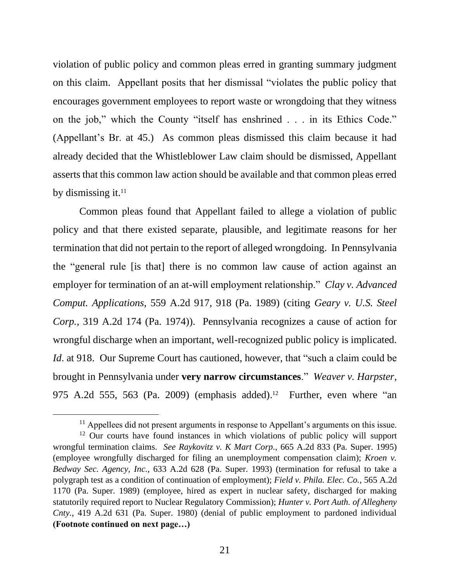violation of public policy and common pleas erred in granting summary judgment on this claim. Appellant posits that her dismissal "violates the public policy that encourages government employees to report waste or wrongdoing that they witness on the job," which the County "itself has enshrined . . . in its Ethics Code." (Appellant's Br. at 45.) As common pleas dismissed this claim because it had already decided that the Whistleblower Law claim should be dismissed, Appellant asserts that this common law action should be available and that common pleas erred by dismissing it. $11$ 

Common pleas found that Appellant failed to allege a violation of public policy and that there existed separate, plausible, and legitimate reasons for her termination that did not pertain to the report of alleged wrongdoing. In Pennsylvania the "general rule [is that] there is no common law cause of action against an employer for termination of an at-will employment relationship." *Clay v. Advanced Comput. Applications*, 559 A.2d 917, 918 (Pa. 1989) (citing *Geary v. U.S. Steel Corp.*, 319 A.2d 174 (Pa. 1974)). Pennsylvania recognizes a cause of action for wrongful discharge when an important, well-recognized public policy is implicated. *Id.* at 918. Our Supreme Court has cautioned, however, that "such a claim could be brought in Pennsylvania under **very narrow circumstances**." *Weaver v. Harpster*, 975 A.2d 555, 563 (Pa. 2009) (emphasis added).<sup>12</sup> Further, even where "an

<sup>&</sup>lt;sup>11</sup> Appellees did not present arguments in response to Appellant's arguments on this issue.

<sup>&</sup>lt;sup>12</sup> Our courts have found instances in which violations of public policy will support wrongful termination claims. *See Raykovitz v. K Mart Corp.*, 665 A.2d 833 (Pa. Super. 1995) (employee wrongfully discharged for filing an unemployment compensation claim); *Kroen v. Bedway Sec. Agency, Inc.*, 633 A.2d 628 (Pa. Super. 1993) (termination for refusal to take a polygraph test as a condition of continuation of employment); *Field v. Phila. Elec. Co.*, 565 A.2d 1170 (Pa. Super. 1989) (employee, hired as expert in nuclear safety, discharged for making statutorily required report to Nuclear Regulatory Commission); *Hunter v. Port Auth. of Allegheny Cnty.*, 419 A.2d 631 (Pa. Super. 1980) (denial of public employment to pardoned individual **(Footnote continued on next page…)**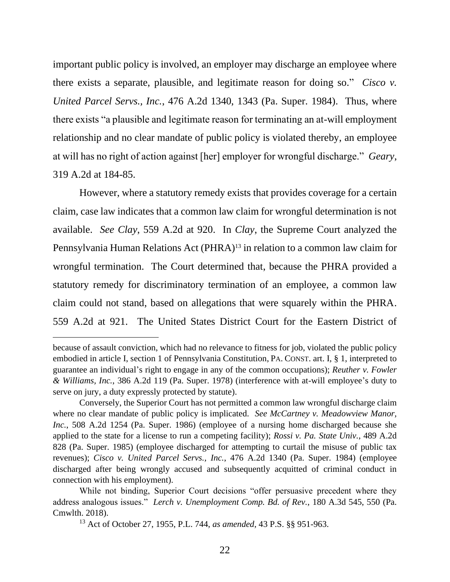important public policy is involved, an employer may discharge an employee where there exists a separate, plausible, and legitimate reason for doing so." *Cisco v. United Parcel Servs., Inc.*, 476 A.2d 1340, 1343 (Pa. Super. 1984). Thus, where there exists "a plausible and legitimate reason for terminating an at-will employment relationship and no clear mandate of public policy is violated thereby, an employee at will has no right of action against [her] employer for wrongful discharge." *Geary*, 319 A.2d at 184-85.

However, where a statutory remedy exists that provides coverage for a certain claim, case law indicates that a common law claim for wrongful determination is not available. *See Clay*, 559 A.2d at 920. In *Clay*, the Supreme Court analyzed the Pennsylvania Human Relations Act (PHRA)<sup>13</sup> in relation to a common law claim for wrongful termination. The Court determined that, because the PHRA provided a statutory remedy for discriminatory termination of an employee, a common law claim could not stand, based on allegations that were squarely within the PHRA. 559 A.2d at 921. The United States District Court for the Eastern District of

because of assault conviction, which had no relevance to fitness for job, violated the public policy embodied in article I, section 1 of Pennsylvania Constitution, PA. CONST. art. I, § 1, interpreted to guarantee an individual's right to engage in any of the common occupations); *Reuther v. Fowler & Williams, Inc.*, 386 A.2d 119 (Pa. Super. 1978) (interference with at-will employee's duty to serve on jury, a duty expressly protected by statute).

Conversely, the Superior Court has not permitted a common law wrongful discharge claim where no clear mandate of public policy is implicated. *See McCartney v. Meadowview Manor, Inc.*, 508 A.2d 1254 (Pa. Super. 1986) (employee of a nursing home discharged because she applied to the state for a license to run a competing facility); *Rossi v. Pa. State Univ.*, 489 A.2d 828 (Pa. Super. 1985) (employee discharged for attempting to curtail the misuse of public tax revenues); *Cisco v. United Parcel Servs., Inc.*, 476 A.2d 1340 (Pa. Super. 1984) (employee discharged after being wrongly accused and subsequently acquitted of criminal conduct in connection with his employment).

While not binding, Superior Court decisions "offer persuasive precedent where they address analogous issues." *Lerch v. Unemployment Comp. Bd. of Rev.*, 180 A.3d 545, 550 (Pa. Cmwlth. 2018).

<sup>13</sup> Act of October 27, 1955, P.L. 744, *as amended*, 43 P.S. §§ 951-963.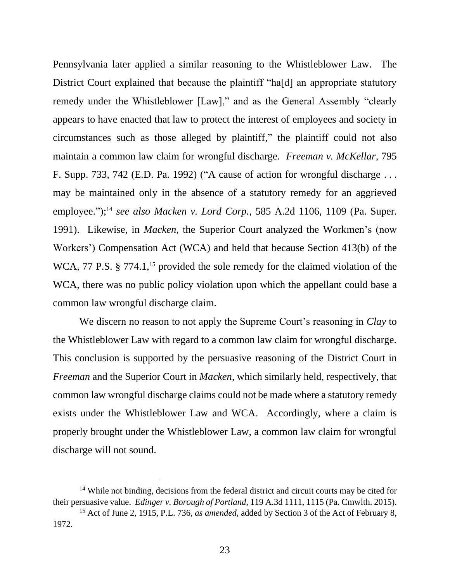Pennsylvania later applied a similar reasoning to the Whistleblower Law. The District Court explained that because the plaintiff "ha[d] an appropriate statutory remedy under the Whistleblower [Law]," and as the General Assembly "clearly appears to have enacted that law to protect the interest of employees and society in circumstances such as those alleged by plaintiff," the plaintiff could not also maintain a common law claim for wrongful discharge. *Freeman v. McKellar*, 795 F. Supp. 733, 742 (E.D. Pa. 1992) ("A cause of action for wrongful discharge . . . may be maintained only in the absence of a statutory remedy for an aggrieved employee."); <sup>14</sup> *see also Macken v. Lord Corp.*, 585 A.2d 1106, 1109 (Pa. Super. 1991). Likewise, in *Macken*, the Superior Court analyzed the Workmen's (now Workers') Compensation Act (WCA) and held that because Section 413(b) of the WCA, 77 P.S. § 774.1,<sup>15</sup> provided the sole remedy for the claimed violation of the WCA, there was no public policy violation upon which the appellant could base a common law wrongful discharge claim.

We discern no reason to not apply the Supreme Court's reasoning in *Clay* to the Whistleblower Law with regard to a common law claim for wrongful discharge. This conclusion is supported by the persuasive reasoning of the District Court in *Freeman* and the Superior Court in *Macken*, which similarly held, respectively, that common law wrongful discharge claims could not be made where a statutory remedy exists under the Whistleblower Law and WCA. Accordingly, where a claim is properly brought under the Whistleblower Law, a common law claim for wrongful discharge will not sound.

<sup>&</sup>lt;sup>14</sup> While not binding, decisions from the federal district and circuit courts may be cited for their persuasive value. *Edinger v. Borough of Portland*, 119 A.3d 1111, 1115 (Pa. Cmwlth. 2015).

<sup>15</sup> Act of June 2, 1915, P.L. 736, *as amended*, added by Section 3 of the Act of February 8, 1972.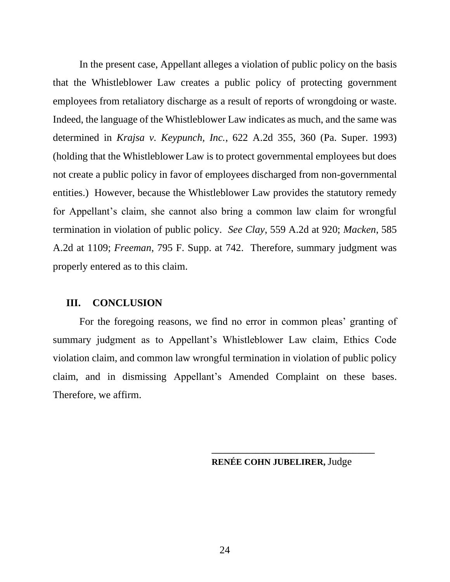In the present case, Appellant alleges a violation of public policy on the basis that the Whistleblower Law creates a public policy of protecting government employees from retaliatory discharge as a result of reports of wrongdoing or waste. Indeed, the language of the Whistleblower Law indicates as much, and the same was determined in *Krajsa v. Keypunch, Inc.*, 622 A.2d 355, 360 (Pa. Super. 1993) (holding that the Whistleblower Law is to protect governmental employees but does not create a public policy in favor of employees discharged from non-governmental entities.) However, because the Whistleblower Law provides the statutory remedy for Appellant's claim, she cannot also bring a common law claim for wrongful termination in violation of public policy. *See Clay*, 559 A.2d at 920; *Macken*, 585 A.2d at 1109; *Freeman*, 795 F. Supp. at 742. Therefore, summary judgment was properly entered as to this claim.

#### **III. CONCLUSION**

For the foregoing reasons, we find no error in common pleas' granting of summary judgment as to Appellant's Whistleblower Law claim, Ethics Code violation claim, and common law wrongful termination in violation of public policy claim, and in dismissing Appellant's Amended Complaint on these bases. Therefore, we affirm.

**RENÉE COHN JUBELIRER,** Judge

**\_\_\_\_\_\_\_\_\_\_\_\_\_\_\_\_\_\_\_\_\_\_\_\_\_\_\_\_\_\_\_\_\_\_\_\_\_**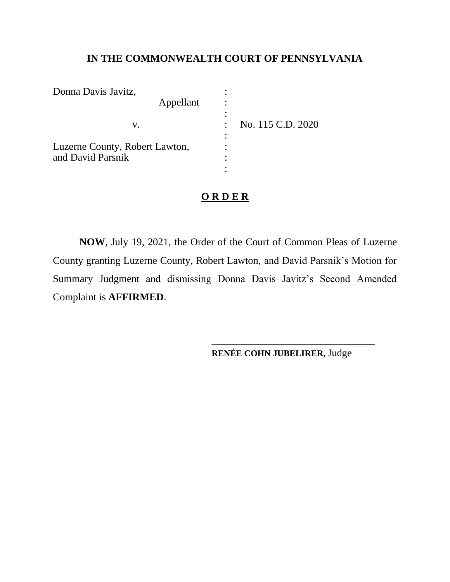# **IN THE COMMONWEALTH COURT OF PENNSYLVANIA**

| Donna Davis Javitz,            |   |                   |
|--------------------------------|---|-------------------|
| Appellant                      |   |                   |
|                                |   |                   |
| V.                             |   | No. 115 C.D. 2020 |
|                                |   |                   |
| Luzerne County, Robert Lawton, | ٠ |                   |
| and David Parsnik              |   |                   |
|                                |   |                   |

# **O R D E R**

**NOW**, July 19, 2021, the Order of the Court of Common Pleas of Luzerne County granting Luzerne County, Robert Lawton, and David Parsnik's Motion for Summary Judgment and dismissing Donna Davis Javitz's Second Amended Complaint is **AFFIRMED**.

**RENÉE COHN JUBELIRER,** Judge

**\_\_\_\_\_\_\_\_\_\_\_\_\_\_\_\_\_\_\_\_\_\_\_\_\_\_\_\_\_\_\_\_\_\_\_\_\_**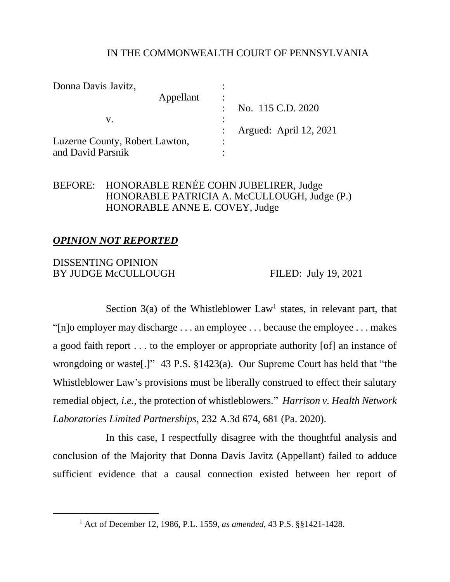# IN THE COMMONWEALTH COURT OF PENNSYLVANIA

| Donna Davis Javitz,            |                |                        |
|--------------------------------|----------------|------------------------|
| Appellant                      | $\bullet$      |                        |
|                                |                | No. 115 C.D. 2020      |
| V.                             | ٠              |                        |
|                                |                | Argued: April 12, 2021 |
| Luzerne County, Robert Lawton, | $\bullet$<br>٠ |                        |
| and David Parsnik              |                |                        |

# BEFORE: HONORABLE RENÉE COHN JUBELIRER, Judge HONORABLE PATRICIA A. McCULLOUGH, Judge (P.) HONORABLE ANNE E. COVEY, Judge

## *OPINION NOT REPORTED*

# DISSENTING OPINION BY JUDGE McCULLOUGH FILED: July 19, 2021

Section  $3(a)$  of the Whistleblower Law<sup>1</sup> states, in relevant part, that "[n]o employer may discharge . . . an employee . . . because the employee . . . makes a good faith report . . . to the employer or appropriate authority [of] an instance of wrongdoing or waste[.]" 43 P.S. §1423(a). Our Supreme Court has held that "the Whistleblower Law's provisions must be liberally construed to effect their salutary remedial object, *i.e.*, the protection of whistleblowers." *Harrison v. Health Network Laboratories Limited Partnerships*, 232 A.3d 674, 681 (Pa. 2020).

In this case, I respectfully disagree with the thoughtful analysis and conclusion of the Majority that Donna Davis Javitz (Appellant) failed to adduce sufficient evidence that a causal connection existed between her report of

<sup>1</sup> Act of December 12, 1986, P.L. 1559, *as amended,* 43 P.S. §§1421-1428.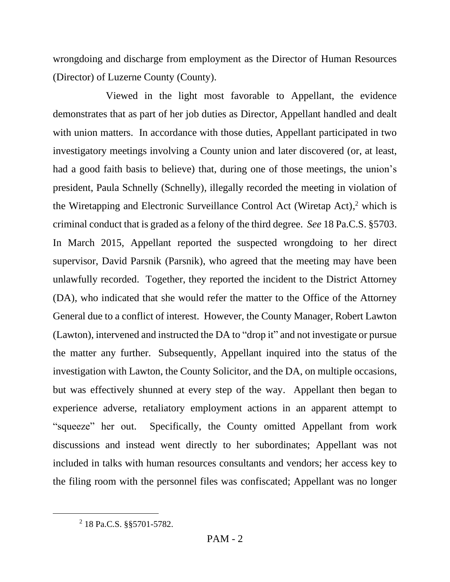wrongdoing and discharge from employment as the Director of Human Resources (Director) of Luzerne County (County).

Viewed in the light most favorable to Appellant, the evidence demonstrates that as part of her job duties as Director, Appellant handled and dealt with union matters. In accordance with those duties, Appellant participated in two investigatory meetings involving a County union and later discovered (or, at least, had a good faith basis to believe) that, during one of those meetings, the union's president, Paula Schnelly (Schnelly), illegally recorded the meeting in violation of the Wiretapping and Electronic Surveillance Control Act (Wiretap Act), <sup>2</sup> which is criminal conduct that is graded as a felony of the third degree. *See* 18 Pa.C.S. §5703. In March 2015, Appellant reported the suspected wrongdoing to her direct supervisor, David Parsnik (Parsnik), who agreed that the meeting may have been unlawfully recorded. Together, they reported the incident to the District Attorney (DA), who indicated that she would refer the matter to the Office of the Attorney General due to a conflict of interest. However, the County Manager, Robert Lawton (Lawton), intervened and instructed the DA to "drop it" and not investigate or pursue the matter any further. Subsequently, Appellant inquired into the status of the investigation with Lawton, the County Solicitor, and the DA, on multiple occasions, but was effectively shunned at every step of the way. Appellant then began to experience adverse, retaliatory employment actions in an apparent attempt to "squeeze" her out. Specifically, the County omitted Appellant from work discussions and instead went directly to her subordinates; Appellant was not included in talks with human resources consultants and vendors; her access key to the filing room with the personnel files was confiscated; Appellant was no longer

<sup>2</sup> 18 Pa.C.S. §§5701-5782.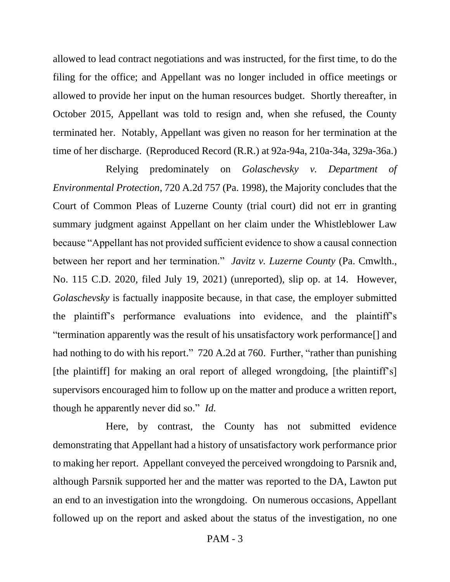allowed to lead contract negotiations and was instructed, for the first time, to do the filing for the office; and Appellant was no longer included in office meetings or allowed to provide her input on the human resources budget. Shortly thereafter, in October 2015, Appellant was told to resign and, when she refused, the County terminated her. Notably, Appellant was given no reason for her termination at the time of her discharge. (Reproduced Record (R.R.) at 92a-94a, 210a-34a, 329a-36a.)

Relying predominately on *Golaschevsky v. Department of Environmental Protection*, 720 A.2d 757 (Pa. 1998), the Majority concludes that the Court of Common Pleas of Luzerne County (trial court) did not err in granting summary judgment against Appellant on her claim under the Whistleblower Law because "Appellant has not provided sufficient evidence to show a causal connection between her report and her termination." *Javitz v. Luzerne County* (Pa. Cmwlth., No. 115 C.D. 2020, filed July 19, 2021) (unreported), slip op. at 14. However, *Golaschevsky* is factually inapposite because, in that case, the employer submitted the plaintiff's performance evaluations into evidence, and the plaintiff's "termination apparently was the result of his unsatisfactory work performance[] and had nothing to do with his report." 720 A.2d at 760. Further, "rather than punishing [the plaintiff] for making an oral report of alleged wrongdoing, [the plaintiff's] supervisors encouraged him to follow up on the matter and produce a written report, though he apparently never did so." *Id.*

Here, by contrast, the County has not submitted evidence demonstrating that Appellant had a history of unsatisfactory work performance prior to making her report. Appellant conveyed the perceived wrongdoing to Parsnik and, although Parsnik supported her and the matter was reported to the DA, Lawton put an end to an investigation into the wrongdoing. On numerous occasions, Appellant followed up on the report and asked about the status of the investigation, no one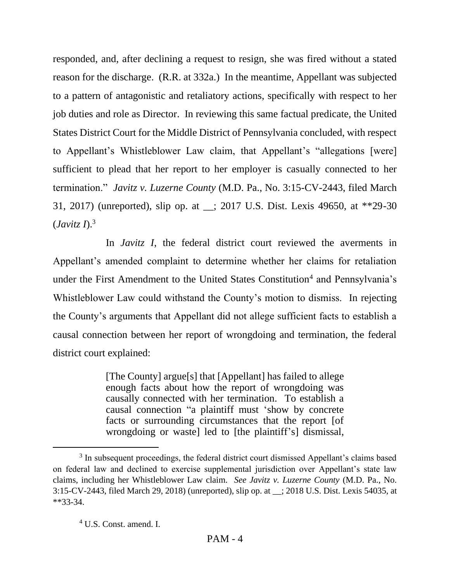responded, and, after declining a request to resign, she was fired without a stated reason for the discharge. (R.R. at 332a.) In the meantime, Appellant was subjected to a pattern of antagonistic and retaliatory actions, specifically with respect to her job duties and role as Director. In reviewing this same factual predicate, the United States District Court for the Middle District of Pennsylvania concluded, with respect to Appellant's Whistleblower Law claim, that Appellant's "allegations [were] sufficient to plead that her report to her employer is casually connected to her termination." *Javitz v. Luzerne County* (M.D. Pa., No. 3:15-CV-2443, filed March 31, 2017) (unreported), slip op. at \_\_; 2017 U.S. Dist. Lexis 49650, at \*\*29-30 (*Javitz I*). 3

In *Javitz I*, the federal district court reviewed the averments in Appellant's amended complaint to determine whether her claims for retaliation under the First Amendment to the United States Constitution<sup>4</sup> and Pennsylvania's Whistleblower Law could withstand the County's motion to dismiss. In rejecting the County's arguments that Appellant did not allege sufficient facts to establish a causal connection between her report of wrongdoing and termination, the federal district court explained:

> [The County] argue[s] that [Appellant] has failed to allege enough facts about how the report of wrongdoing was causally connected with her termination. To establish a causal connection "a plaintiff must 'show by concrete facts or surrounding circumstances that the report [of wrongdoing or waste] led to [the plaintiff's] dismissal,

<sup>&</sup>lt;sup>3</sup> In subsequent proceedings, the federal district court dismissed Appellant's claims based on federal law and declined to exercise supplemental jurisdiction over Appellant's state law claims, including her Whistleblower Law claim. *See Javitz v. Luzerne County* (M.D. Pa., No. 3:15-CV-2443, filed March 29, 2018) (unreported), slip op. at \_\_; 2018 U.S. Dist. Lexis 54035, at \*\*33-34.

<sup>4</sup> U.S. Const. amend. I.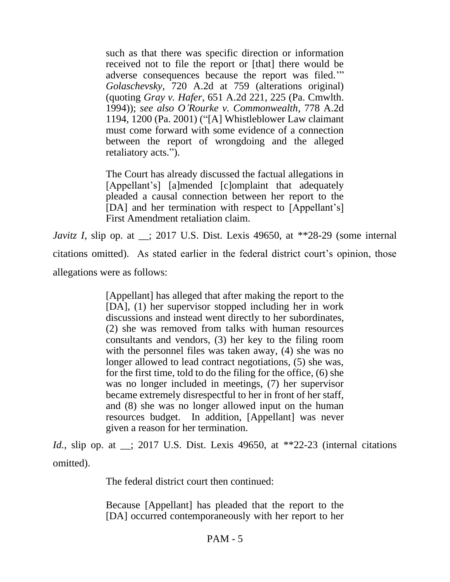such as that there was specific direction or information received not to file the report or [that] there would be adverse consequences because the report was filed.'" *Golaschevsky*, 720 A.2d at 759 (alterations original) (quoting *Gray v. Hafer*, 651 A.2d 221, 225 (Pa. Cmwlth. 1994)); *see also O'Rourke v. Commonwealth*, 778 A.2d 1194, 1200 (Pa. 2001) ("[A] Whistleblower Law claimant must come forward with some evidence of a connection between the report of wrongdoing and the alleged retaliatory acts.").

The Court has already discussed the factual allegations in [Appellant's] [a]mended [c]omplaint that adequately pleaded a causal connection between her report to the [DA] and her termination with respect to [Appellant's] First Amendment retaliation claim.

*Javitz I*, slip op. at \_\_; 2017 U.S. Dist. Lexis 49650, at \*\*28-29 (some internal citations omitted). As stated earlier in the federal district court's opinion, those allegations were as follows:

> [Appellant] has alleged that after making the report to the [DA], (1) her supervisor stopped including her in work discussions and instead went directly to her subordinates, (2) she was removed from talks with human resources consultants and vendors, (3) her key to the filing room with the personnel files was taken away, (4) she was no longer allowed to lead contract negotiations, (5) she was, for the first time, told to do the filing for the office, (6) she was no longer included in meetings, (7) her supervisor became extremely disrespectful to her in front of her staff, and (8) she was no longer allowed input on the human resources budget. In addition, [Appellant] was never given a reason for her termination.

*Id.*, slip op. at \_\_; 2017 U.S. Dist. Lexis 49650, at \*\*22-23 (internal citations omitted).

The federal district court then continued:

Because [Appellant] has pleaded that the report to the [DA] occurred contemporaneously with her report to her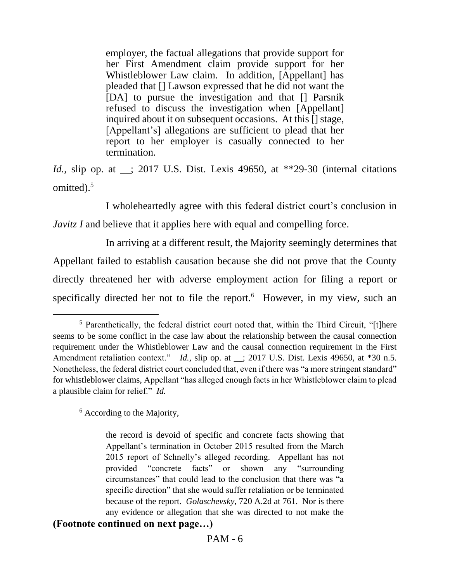employer, the factual allegations that provide support for her First Amendment claim provide support for her Whistleblower Law claim. In addition, [Appellant] has pleaded that [] Lawson expressed that he did not want the [DA] to pursue the investigation and that [] Parsnik refused to discuss the investigation when [Appellant] inquired about it on subsequent occasions. At this [] stage, [Appellant's] allegations are sufficient to plead that her report to her employer is casually connected to her termination.

*Id.*, slip op. at \_\_; 2017 U.S. Dist. Lexis 49650, at \*\*29-30 (internal citations omitted).<sup>5</sup>

I wholeheartedly agree with this federal district court's conclusion in *Javitz I* and believe that it applies here with equal and compelling force.

 In arriving at a different result, the Majority seemingly determines that Appellant failed to establish causation because she did not prove that the County directly threatened her with adverse employment action for filing a report or specifically directed her not to file the report.<sup>6</sup> However, in my view, such an

<sup>6</sup> According to the Majority,

the record is devoid of specific and concrete facts showing that Appellant's termination in October 2015 resulted from the March 2015 report of Schnelly's alleged recording. Appellant has not provided "concrete facts" or shown any "surrounding circumstances" that could lead to the conclusion that there was "a specific direction" that she would suffer retaliation or be terminated because of the report. *Golaschevsky*, 720 A.2d at 761. Nor is there any evidence or allegation that she was directed to not make the **(Footnote continued on next page…)**

<sup>5</sup> Parenthetically, the federal district court noted that, within the Third Circuit, "[t]here seems to be some conflict in the case law about the relationship between the causal connection requirement under the Whistleblower Law and the causal connection requirement in the First Amendment retaliation context." *Id.*, slip op. at \_\_; 2017 U.S. Dist. Lexis 49650, at \*30 n.5. Nonetheless, the federal district court concluded that, even if there was "a more stringent standard" for whistleblower claims, Appellant "has alleged enough facts in her Whistleblower claim to plead a plausible claim for relief." *Id.*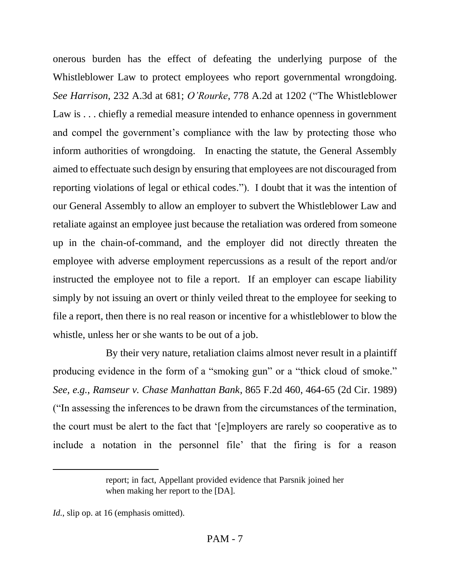onerous burden has the effect of defeating the underlying purpose of the Whistleblower Law to protect employees who report governmental wrongdoing. *See Harrison*, 232 A.3d at 681; *O'Rourke*, 778 A.2d at 1202 ("The Whistleblower Law is . . . chiefly a remedial measure intended to enhance openness in government and compel the government's compliance with the law by protecting those who inform authorities of wrongdoing. In enacting the statute, the General Assembly aimed to effectuate such design by ensuring that employees are not discouraged from reporting violations of legal or ethical codes."). I doubt that it was the intention of our General Assembly to allow an employer to subvert the Whistleblower Law and retaliate against an employee just because the retaliation was ordered from someone up in the chain-of-command, and the employer did not directly threaten the employee with adverse employment repercussions as a result of the report and/or instructed the employee not to file a report. If an employer can escape liability simply by not issuing an overt or thinly veiled threat to the employee for seeking to file a report, then there is no real reason or incentive for a whistleblower to blow the whistle, unless her or she wants to be out of a job.

By their very nature, retaliation claims almost never result in a plaintiff producing evidence in the form of a "smoking gun" or a "thick cloud of smoke." *See, e.g.*, *Ramseur v. Chase Manhattan Bank*, 865 F.2d 460, 464-65 (2d Cir. 1989) ("In assessing the inferences to be drawn from the circumstances of the termination, the court must be alert to the fact that '[e]mployers are rarely so cooperative as to include a notation in the personnel file' that the firing is for a reason

report; in fact, Appellant provided evidence that Parsnik joined her when making her report to the [DA].

*Id.*, slip op. at 16 (emphasis omitted).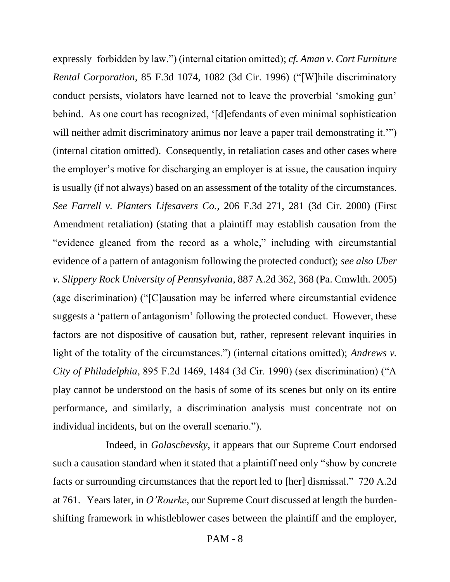expressly forbidden by law.") (internal citation omitted); *cf. Aman v. Cort Furniture Rental Corporation*, 85 F.3d 1074, 1082 (3d Cir. 1996) ("[W]hile discriminatory conduct persists, violators have learned not to leave the proverbial 'smoking gun' behind. As one court has recognized, '[d]efendants of even minimal sophistication will neither admit discriminatory animus nor leave a paper trail demonstrating it." (internal citation omitted). Consequently, in retaliation cases and other cases where the employer's motive for discharging an employer is at issue, the causation inquiry is usually (if not always) based on an assessment of the totality of the circumstances. *See Farrell v. Planters Lifesavers Co.*, 206 F.3d 271, 281 (3d Cir. 2000) (First Amendment retaliation) (stating that a plaintiff may establish causation from the "evidence gleaned from the record as a whole," including with circumstantial evidence of a pattern of antagonism following the protected conduct); *see also Uber v. Slippery Rock University of Pennsylvania*, 887 A.2d 362, 368 (Pa. Cmwlth. 2005) (age discrimination) ("[C]ausation may be inferred where circumstantial evidence suggests a 'pattern of antagonism' following the protected conduct. However, these factors are not dispositive of causation but, rather, represent relevant inquiries in light of the totality of the circumstances.") (internal citations omitted); *Andrews v. City of Philadelphia*, 895 F.2d 1469, 1484 (3d Cir. 1990) (sex discrimination) ("A play cannot be understood on the basis of some of its scenes but only on its entire performance, and similarly, a discrimination analysis must concentrate not on individual incidents, but on the overall scenario.").

Indeed, in *Golaschevsky*, it appears that our Supreme Court endorsed such a causation standard when it stated that a plaintiff need only "show by concrete facts or surrounding circumstances that the report led to [her] dismissal." 720 A.2d at 761. Years later, in *O'Rourke*, our Supreme Court discussed at length the burdenshifting framework in whistleblower cases between the plaintiff and the employer,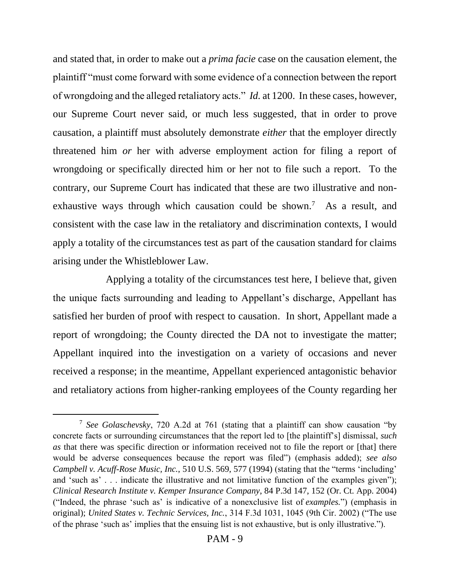and stated that, in order to make out a *prima facie* case on the causation element, the plaintiff "must come forward with some evidence of a connection between the report of wrongdoing and the alleged retaliatory acts." *Id.* at 1200. In these cases, however, our Supreme Court never said, or much less suggested, that in order to prove causation, a plaintiff must absolutely demonstrate *either* that the employer directly threatened him *or* her with adverse employment action for filing a report of wrongdoing or specifically directed him or her not to file such a report. To the contrary, our Supreme Court has indicated that these are two illustrative and nonexhaustive ways through which causation could be shown.<sup>7</sup> As a result, and consistent with the case law in the retaliatory and discrimination contexts, I would apply a totality of the circumstances test as part of the causation standard for claims arising under the Whistleblower Law.

Applying a totality of the circumstances test here, I believe that, given the unique facts surrounding and leading to Appellant's discharge, Appellant has satisfied her burden of proof with respect to causation. In short, Appellant made a report of wrongdoing; the County directed the DA not to investigate the matter; Appellant inquired into the investigation on a variety of occasions and never received a response; in the meantime, Appellant experienced antagonistic behavior and retaliatory actions from higher-ranking employees of the County regarding her

<sup>7</sup> *See Golaschevsky*, 720 A.2d at 761 (stating that a plaintiff can show causation "by concrete facts or surrounding circumstances that the report led to [the plaintiff's] dismissal, *such as* that there was specific direction or information received not to file the report or [that] there would be adverse consequences because the report was filed") (emphasis added); *see also Campbell v. Acuff-Rose Music, Inc.*, 510 U.S. 569, 577 (1994) (stating that the "terms 'including' and 'such as' . . . indicate the illustrative and not limitative function of the examples given"); *Clinical Research Institute v. Kemper Insurance Company*, 84 P.3d 147, 152 (Or. Ct. App. 2004) ("Indeed, the phrase 'such as' is indicative of a nonexclusive list of *examples.*") (emphasis in original); *United States v. Technic Services, Inc.*, 314 F.3d 1031, 1045 (9th Cir. 2002) ("The use of the phrase 'such as' implies that the ensuing list is not exhaustive, but is only illustrative.").